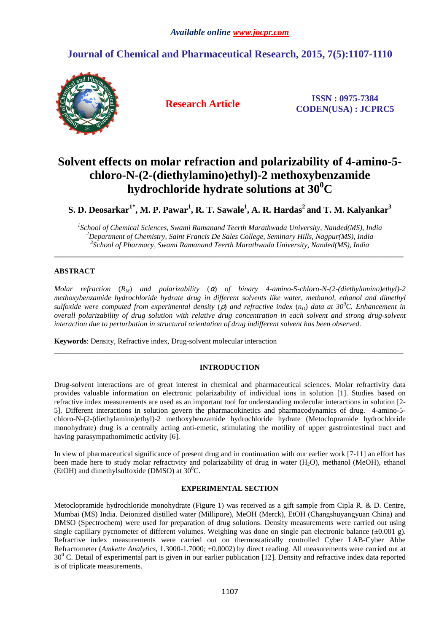## **Journal of Chemical and Pharmaceutical Research, 2015, 7(5):1107-1110**



**Research Article ISSN : 0975-7384 CODEN(USA) : JCPRC5**

# **Solvent effects on molar refraction and polarizability of 4-amino-5 chloro-N-(2-(diethylamino)ethyl)-2 methoxybenzamide hydrochloride hydrate solutions at 30<sup>0</sup>C**

**S. D. Deosarkar1\*, M. P. Pawar<sup>1</sup> , R. T. Sawale<sup>1</sup> , A. R. Hardas<sup>2</sup>and T. M. Kalyankar<sup>3</sup>**

*1 School of Chemical Sciences, Swami Ramanand Teerth Marathwada University, Nanded(MS), India <sup>2</sup>Department of Chemistry, Saint Francis De Sales College, Seminary Hills, Nagpur(MS), India 3 School of Pharmacy, Swami Ramanand Teerth Marathwada University, Nanded(MS), India* 

**\_\_\_\_\_\_\_\_\_\_\_\_\_\_\_\_\_\_\_\_\_\_\_\_\_\_\_\_\_\_\_\_\_\_\_\_\_\_\_\_\_\_\_\_\_\_\_\_\_\_\_\_\_\_\_\_\_\_\_\_\_\_\_\_\_\_\_\_\_\_\_\_\_\_\_\_\_\_\_\_\_\_\_\_\_\_\_\_\_\_\_\_\_** 

## **ABSTRACT**

*Molar refraction* (*RM*) *and polarizability* (α) *of binary 4-amino-5-chloro-N-(2-(diethylamino)ethyl)-2 methoxybenzamide hydrochloride hydrate drug in different solvents like water, methanol, ethanol and dimethyl sulfoxide were computed from experimental density* (ρ) *and refractive index* (*nD*) *data at 30<sup>0</sup>C. Enhancement in overall polarizability of drug solution with relative drug concentration in each solvent and strong drug-solvent interaction due to perturbation in structural orientation of drug indifferent solvent has been observed.*

**Keywords**: Density, Refractive index, Drug-solvent molecular interaction

### **INTRODUCTION**

**\_\_\_\_\_\_\_\_\_\_\_\_\_\_\_\_\_\_\_\_\_\_\_\_\_\_\_\_\_\_\_\_\_\_\_\_\_\_\_\_\_\_\_\_\_\_\_\_\_\_\_\_\_\_\_\_\_\_\_\_\_\_\_\_\_\_\_\_\_\_\_\_\_\_\_\_\_\_\_\_\_\_\_\_\_\_\_\_\_\_\_\_\_** 

Drug-solvent interactions are of great interest in chemical and pharmaceutical sciences. Molar refractivity data provides valuable information on electronic polarizability of individual ions in solution [1]. Studies based on refractive index measurements are used as an important tool for understanding molecular interactions in solution [2- 5]. Different interactions in solution govern the pharmacokinetics and pharmacodynamics of drug. 4-amino-5 chloro-N-(2-(diethylamino)ethyl)-2 methoxybenzamide hydrochloride hydrate (Metoclopramide hydrochloride monohydrate) drug is a centrally acting anti-emetic, stimulating the motility of upper gastrointestinal tract and having parasympathomimetic activity [6].

In view of pharmaceutical significance of present drug and in continuation with our earlier work [7-11] an effort has been made here to study molar refractivity and polarizability of drug in water (H<sub>2</sub>O), methanol (MeOH), ethanol (EtOH) and dimethylsulfoxide (DMSO) at  $30^0C$ .

### **EXPERIMENTAL SECTION**

Metoclopramide hydrochloride monohydrate (Figure 1) was received as a gift sample from Cipla R. & D. Centre, Mumbai (MS) India. Deionized distilled water (Millipore), MeOH (Merck), EtOH (Changshuyangyuan China) and DMSO (Spectrochem) were used for preparation of drug solutions. Density measurements were carried out using single capillary pycnometer of different volumes. Weighing was done on single pan electronic balance  $(\pm 0.001 \text{ g})$ . Refractive index measurements were carried out on thermostatically controlled Cyber LAB-Cyber Abbe Refractometer (*Amkette Analytics*, 1.3000-1.7000; ±0.0002) by direct reading. All measurements were carried out at  $30^0$  C. Detail of experimental part is given in our earlier publication [12]. Density and refractive index data reported is of triplicate measurements.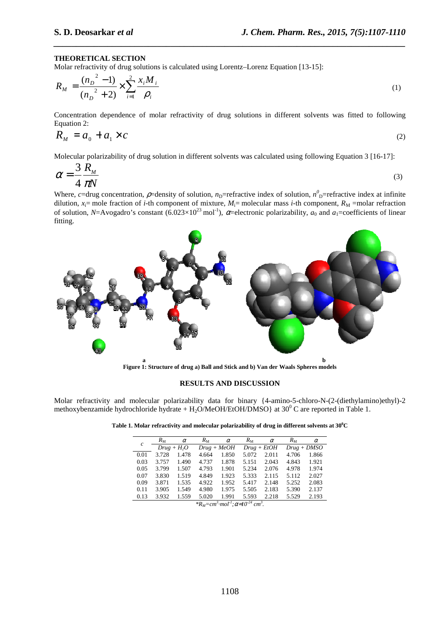#### **THEORETICAL SECTION**

Molar refractivity of drug solutions is calculated using Lorentz–Lorenz Equation [13-15]:

$$
R_M = \frac{(n_D^2 - 1)}{(n_D^2 + 2)} \times \sum_{i=1}^2 \frac{x_i M_i}{\rho_i}
$$
 (1)

*\_\_\_\_\_\_\_\_\_\_\_\_\_\_\_\_\_\_\_\_\_\_\_\_\_\_\_\_\_\_\_\_\_\_\_\_\_\_\_\_\_\_\_\_\_\_\_\_\_\_\_\_\_\_\_\_\_\_\_\_\_\_\_\_\_\_\_\_\_\_\_\_\_\_\_\_\_\_*

Concentration dependence of molar refractivity of drug solutions in different solvents was fitted to following Equation 2:

$$
R_M = a_0 + a_1 \times c \tag{2}
$$

Molecular polarizability of drug solution in different solvents was calculated using following Equation 3 [16-17]:

$$
\alpha = \frac{3}{4} \frac{R_{M}}{\pi N}
$$
 (3)

Where, *c*=drug concentration,  $\rho$ =density of solution,  $n_D$ =refractive index of solution,  $n_D^0$ =refractive index at infinite dilution,  $x_i$ = mole fraction of *i*-th component of mixture,  $M_i$ = molecular mass *i*-th component,  $R_M$  =molar refraction of solution, *N*=Avogadro's constant (6.023×10<sup>23</sup> mol<sup>-1</sup>),  $\alpha$ =electronic polarizability,  $a_0$  and  $a_1$ =coefficients of linear fitting.



**Figure 1: Structure of drug a) Ball and Stick and b) Van der Waals Spheres models** 

#### **RESULTS AND DISCUSSION**

Molar refractivity and molecular polarizability data for binary {4-amino-5-chloro-N-(2-(diethylamino)ethyl)-2 methoxybenzamide hydrochloride hydrate +  $H_2O/M$ eOH/EtOH/DMSO} at 30<sup>0</sup> C are reported in Table 1.

**Table 1. Molar refractivity and molecular polarizability of drug in different solvents at 30<sup>0</sup>C** 

| $\mathfrak{c}$ | $R_{\rm M}$  | $\alpha$ | $R_{\rm M}$   | $\alpha$ | $R_{\rm M}$   | $\alpha$ | $R_{\rm M}$   | $\alpha$ |
|----------------|--------------|----------|---------------|----------|---------------|----------|---------------|----------|
|                | $Drug + H2O$ |          | $Drug + MeOH$ |          | $Drug + EtOH$ |          | $Drug + DMSO$ |          |
| 0.01           | 3.728        | 1.478    | 4.664         | 1.850    | 5.072         | 2.011    | 4.706         | 1.866    |
| 0.03           | 3.757        | 1.490    | 4.737         | 1.878    | 5.151         | 2.043    | 4.843         | 1.921    |
| 0.05           | 3.799        | 1.507    | 4.793         | 1.901    | 5.234         | 2.076    | 4.978         | 1.974    |
| 0.07           | 3.830        | 1.519    | 4.849         | 1.923    | 5.333         | 2.115    | 5.112         | 2.027    |
| 0.09           | 3.871        | 1.535    | 4.922         | 1.952    | 5.417         | 2.148    | 5.252         | 2.083    |
| 0.11           | 3.905        | 1.549    | 4.980         | 1.975    | 5.505         | 2.183    | 5.390         | 2.137    |
| 0.13           | 3.932        | 1.559    | 5.020         | 1.991    | 5.593         | 2.218    | 5.529         | 2.193    |

*\*R<sub>M</sub>*= $cm^3 \cdot mol^{-1}$ ;  $\alpha = 10^{-24}$   $cm^3$ .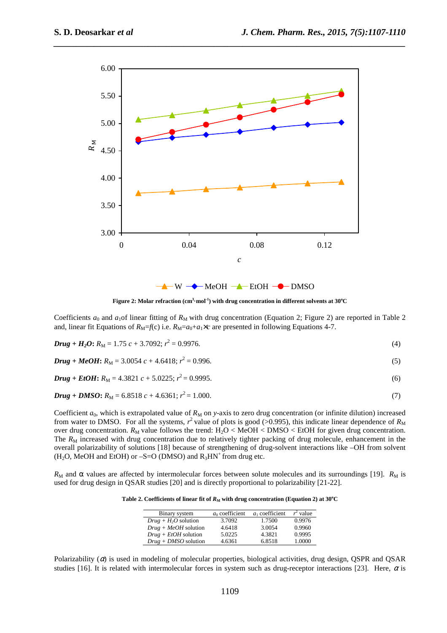

*\_\_\_\_\_\_\_\_\_\_\_\_\_\_\_\_\_\_\_\_\_\_\_\_\_\_\_\_\_\_\_\_\_\_\_\_\_\_\_\_\_\_\_\_\_\_\_\_\_\_\_\_\_\_\_\_\_\_\_\_\_\_\_\_\_\_\_\_\_\_\_\_\_\_\_\_\_\_*

 $W \rightarrow MeOH \rightarrow EtOH \rightarrow DMSO$ 

**Figure 2:** Molar refraction  $(\text{cm}^3 \cdot \text{mol}^1)$  with drug concentration in different solvents at  $30^{\circ}\text{C}$ 

Coefficients  $a_0$  and  $a_1$ of linear fitting of  $R_M$  with drug concentration (Equation 2; Figure 2) are reported in Table 2 and, linear fit Equations of  $R_M=f(c)$  i.e.  $R_M=a_0+a_1\times c$  are presented in following Equations 4-7.

**Drug** + 
$$
H_2O
$$
:  $R_M = 1.75 c + 3.7092$ ;  $r^2 = 0.9976$ . (4)

## $\bm{D} \bm{r} \bm{u} \bm{g} + \bm{M} \bm{e} \bm{O} \bm{H}$ :  $R_M = 3.0054 \ c + 4.6418; r^2 = 0.996.$  (5)

## $\bm{D} \bm{r} \bm{u} \bm{g} + \bm{E} \bm{t} \bm{O} \bm{H}$ :  $R_M = 4.3821 \ c + 5.0225; r^2 = 0.9995.$  (6)

## $\bm{D} \bm{r} \bm{u} \bm{g} + \bm{D} \bm{M} \bm{S} \bm{O}$ :  $R_M = 6.8518 \ c + 4.6361; r^2 = 1.000.$  (7)

Coefficient  $a_0$ , which is extrapolated value of  $R_M$  on *y*-axis to zero drug concentration (or infinite dilution) increased from water to DMSO. For all the systems,  $r^2$  value of plots is good (>0.995), this indicate linear dependence of  $R_M$ over drug concentration.  $R_M$  value follows the trend: H<sub>2</sub>O < MeOH < DMSO < EtOH for given drug concentration. The  $R_M$  increased with drug concentration due to relatively tighter packing of drug molecule, enhancement in the overall polarizability of solutions [18] because of strengthening of drug-solvent interactions like –OH from solvent  $(H<sub>2</sub>O, MeOH and EtOH)$  or  $-S=O$  (DMSO) and  $R<sub>3</sub>HN<sup>+</sup>$  from drug etc.

 $R_M$  and  $\alpha$  values are affected by intermolecular forces between solute molecules and its surroundings [19].  $R_M$  is used for drug design in QSAR studies [20] and is directly proportional to polarizability [21-22].

**Table 2. Coefficients of linear fit of**  $R_M$  **with drug concentration (Equation 2) at 30<sup>o</sup>C** 

| Binary system          | $a_0$ coefficient | a <sub>1</sub> coefficient | $r^2$ value |
|------------------------|-------------------|----------------------------|-------------|
| $Drug + H_2O$ solution | 3.7092            | 1.7500                     | 0.9976      |
| $Drug + MeOH$ solution | 4.6418            | 3.0054                     | 0.9960      |
| $Drug + EtOH$ solution | 5.0225            | 4.3821                     | 0.9995      |
| $Drug + DMSO$ solution | 4.6361            | 6.8518                     | 1.0000      |

Polarizability  $(\alpha)$  is used in modeling of molecular properties, biological activities, drug design, QSPR and QSAR studies [16]. It is related with intermolecular forces in system such as drug-receptor interactions [23]. Here,  $\alpha$  is